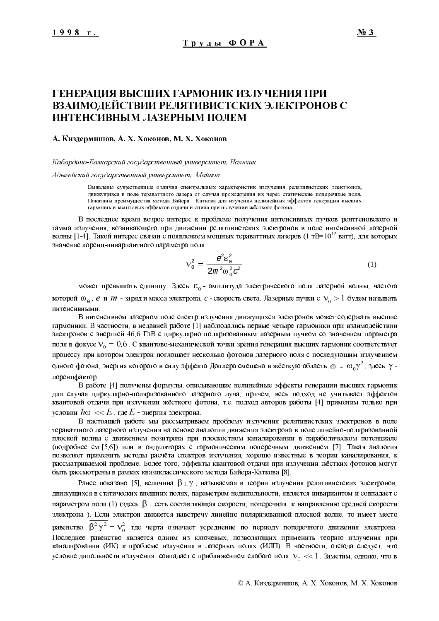# ГЕНЕРАЦИЯ ВЫСШИХ ГАРМОНИК ИЗЛУЧЕНИЯ ПРИ ВЗАИМОДЕЙСТВИИ РЕЛЯТИВИСТСКИХ ЭЛЕКТРОНОВ С ИНТЕНСИВНЫМ ЛАЗЕРНЫМ ПОЛЕМ

## А. Киздермишов, А. Х. Хоконов, М. Х. Хоконов

#### Кабардино-Балкарский государственный университет, Нальчик

Адыгейский государственный университет, Майкоп

Выявлены существенные отличия спектральных характеристик излучения релятивистских электронов, движущихся в поле тераваттного лазера от случая прохождения их через статические поперечные поля. Показаны преимущества метода Байера - Каткова для изучения нелинейных эффектов генерации высших гармоник и квантовых эффектов отдачи и спина при излучении жёсткого фотона.

В последнее время возрос интерес к проблеме получения интенсивных пучков рентгеновского и гамма излучения, возникающего при движении релятивистских электронов в поле интенсивной лазерной волны [1-4]. Такой интерес связан с появлением мощных тераваттных лазеров (1 тВ=10<sup>12</sup> ватт), для которых значение лоренц-инвариантного параметра поля

$$
v_0^2 = \frac{e^2 \varepsilon_0^2}{2m^2 \omega_0^2 c^2}
$$
 (1)

может превышать единицу. Здесь  $\varepsilon_0$  - амплитуда электрического поля лазерной волны, частота которой  $\omega_0$ , е и *m* - заряд и масса электрона, *с* - скорость света. Лазерные пучки с  $v_0 > 1$  будем называть интенсивными.

В интенсивном лазерном поле спектр излучения движущихся электронов может содержать высшие гармоники. В частности, в недавней работе [1] наблюдались первые четыре гармоники при взаимодействии электронов с энергией 46,6 ГэВ с циркулярно поляризованным лазерным пучком со значением параметра поля в фокусе  $v_0 = 0.6$ . С квантово-механической точки зрения генерация высших гармоник соответствует процессу при котором электрон поглощает несколько фотонов лазерного поля с последующим излучением одного фотона, энергия которого в силу эффекта Доплера смещена в жёсткую область  $\omega \sim \omega_0 \gamma^2$ , здесь  $\gamma$ лоренифактор.

В работе [4] получены формулы, описывающие нелинейные эффекты генерации высших гармоник для случая циркулярно-поляризованного лазерного луча, причём, весь подход не учитывает эффектов квантовой отдачи при излучении жёсткого фотона, т.е. подход авторов работы [4] применим только при условии  $\hbar \omega \ll E$ , где  $E$  - энергия электрона.

В настоящей работе мы рассматриваем проблему излучения релятивистских электронов в поле тераваттного лазерного излучения на основе аналогии движения электрона в поле линейно-поляризованной плоской волны с движением позитрона при плоскостном каналировании в параболическом потенциале (подробнее см. [5,6]) или в ондуляторах с гармоническим поперечным движением [7]. Такая аналогия позволяет применить методы расчёта спектров излучения, хорошо известные в теории каналирования, к рассматриваемой проблеме. Более того, эффекты квантовой отдачи при излучении жёстких фотонов могут быть рассмотрены в рамках квазиклассического метода Байера-Каткова [8].

Ранее показано [5], величина  $\beta \perp \gamma$ , называемая в теории излучения релятивистских электронов, движущихся в статических внешних полях, параметром недипольности, является инвариантом и совпадает с параметром поля (1) (здесь  $\beta_{\perp}$  есть составляющая скорости, поперечная к направлению средней скорости электрона). Если электрон движется навстречу линейно поляризованной плоской волне, то имеет место равенство  $\overline{\beta_1^2 \gamma^2} = v_0^2$  где черта означает усреднение по периоду поперечного движения электрона. Последнее равенство является одним из ключевых, позволяющих применить теорию излучения при каналировании (ИК) к проблеме излучения в лазерных полях (ИЛП). В частности, отсюда следует, что условие дипольности излучения совпадает с приближением слабого поля  $v_0 \ll 1$ . Заметим, однако, что в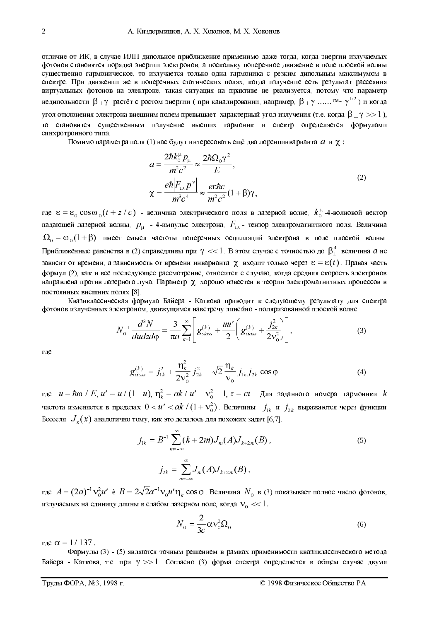отличие от ИК, в случае ИЛП дипольное приближение применимо даже тогда, когда энергии излучаемых фотонов становятся порядка энергии электронов, а поскольку поперечное движение в поле плоской волны существенно гармоническое, то излучается только одна гармоника с резким дипольным максимумом в спектре. При движении же в поперечных статических полях, когда излучение есть результат рассеяния виртуальных фотонов на электроне, такая ситуация на практике не реализуется, потому что параметр недипольности  $\beta_{\perp}\gamma$  растёт с ростом энергии (при каналировании, например,  $\beta_{\perp}\gamma$  ......  $^{TM}$  $\sim$   $\gamma^{1/2}$ ) и когда угол отклонения электрона внешним полем превышает характерный угол излучения (т.е. когда  $\beta \perp \gamma >> 1$  ), то становится существенным излучение высших гармоник и спектр определяется формулами синхротронного типа.

Помимо параметра поля (1) нас будут интересовать ещё два лоренцинварианта  $a$  и  $\chi$ :

$$
a = \frac{2\hbar k_0^p p_\mu}{m^2 c^2} \approx \frac{2\hbar \Omega_0 \gamma^2}{E},
$$
  

$$
\chi = \frac{e\hbar |F_{\mu\nu}p^\nu|}{m^2 c^4} \approx \frac{e\hbar c}{m^2 c^2} (1 + \beta)\gamma,
$$
 (2)

где  $\varepsilon = \varepsilon_0 \cos \omega_0 (t + z / c)$  - величина электрического поля в лазерной волне,  $k_0^{\mu}$ -4-волновой вектор падающей лазерной волны,  $p_{\mu}$  - 4-импульс электрона,  $F_{\mu\nu}$ - тензор электромагнитного поля. Величина  $\Omega_0 = \omega_0 (1 + \beta)$  имеет смысл частоты поперечных осцилляций электрона в поле плоской волны. Приближённые равенства в (2) справедливы при  $\gamma << 1$ . В этом случае с точностью до  $\beta_{\perp}^4$  величина  $a$  не зависит от времени, а зависимость от времени инварианта  $\chi$  входит только через  $\epsilon = \epsilon(t)$ . Правая часть формул (2), как и всё последующее рассмотрение, относится с случаю, когда средняя скорость электронов направлена против лазерного луча. Параметр  $\chi$  хорошо известен в теории электромагнитных процессов в постоянных внешних полях [8].

Квазиклассическая формула Байера - Каткова приводит к следующему результату для спектра фотонов излучённых электроном, движущимся навстречу линейно - поляризованной плоской волне

$$
N_0^{-1} \frac{d^3 N}{du dz d\varphi} = \frac{3}{\pi a} \sum_{k=1}^{\infty} \left[ g_{class}^{(k)} + \frac{u u'}{2} \left( g_{class}^{(k)} + \frac{j_{2k}^2}{2 \nu_0^2} \right) \right],
$$
 (3)

где

$$
g_{class}^{(k)} = j_{1k}^2 + \frac{\eta_k^2}{2v_0^2} j_{2k}^2 - \sqrt{2} \frac{\eta_k}{v_0} j_{1k} j_{2k} \cos \varphi
$$
 (4)

где  $u = \hbar \omega / E$ ,  $u' = u / (1 - u)$ ,  $\eta_k^2 = ak / u' - \nu_0^2 - 1$ ,  $z = ct$ . Для заданного номера гармоники  $k$ частота изменяется в пределах  $0 < u' < a k / (1 + v_0^2)$ . Величины  $j_{1k}$  и  $j_{2k}$  выражаются через функции Бесселя  $J_n(x)$  аналогично тому, как это делалось для похожих задач [6,7].

$$
j_{1k} = B^{-1} \sum_{m=-\infty}^{\infty} (k+2m) J_m(A) J_{k+2m}(B),
$$
  
\n
$$
j_{2k} = \sum_{m=-\infty}^{\infty} J_m(A) J_{k+2m}(B),
$$
\n(5)

где  $A = (2a)^{-1}v_0^2u'$  è  $B = 2\sqrt{2}a^{-1}v_0u'\eta_k\cos\varphi$ . Величина  $N_0$  в (3) показывает полное число фотонов, излучаемых на единицу длины в слабом лазерном поле, когда  $v_0 \ll 1$ .

$$
N_0 = \frac{2}{3c} \alpha v_0^2 \Omega_0 \tag{6}
$$

где  $\alpha = 1/137$ .

Формулы (3) - (5) являются точным решением в рамках применимости квазиклассического метода Байера - Каткова, т.е. при  $\gamma >> 1$ . Согласно (3) форма спектра определяется в общем случае двумя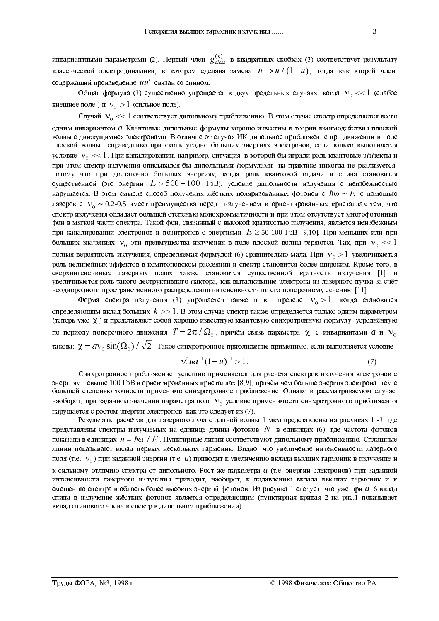инвариантными параметрами (2). Первый член  $g_{class}^{(k)}$  в квадратных скобках (3) соответствует результату классической электродинамики, в котором сделана замена  $u \rightarrow u/(1-u)$ , тогда как второй член, содержащий произведение ии' связан со спином.

Общая формула (3) существенно упрощается в двух предельных случаях, когда  $v_0 \ll 1$  (слабое внешнее поле) и  $v_0 > 1$  (сильное поле).

Случай  $v_0 \ll 1$  соответствует дипольному приближению. В этом случае спектр определяется всего одним инвариантом а. Квантовые дипольные формулы хорошо известны в теории взаимодействия плоской волны с движущимися электронами. В отличие от случая ИК дипольное приближение при движении в поле плоской волны справедливо при сколь угодно больших энергиях электронов, если только выполняется условие  $v_0 \ll 1$ . При каналировании, например, ситуация, в которой бы играли роль квантовые эффекты и при этом спектр излучения описывался бы дипольными формулами на практике никогда не реализуется. потому что при достаточно больших энергиях, когда роль квантовой отдачи и спина становится существенной (это энергии  $E > 500-100$  ГэВ), условие дипольности излучения с неизбежностью нарушается. В этом смысле способ получения жёстких поляризованных фотонов с  $\hbar\omega \sim E$  с помощью лазеров с  $V_0 \sim 0.2$ -0.5 имеет преимущества перед излучением в ориентированных кристаллах тем, что спектр излучения обладает большей степенью монохромматичности и при этом отсутствует многофотонный фон в мягкой части спектра. Такой фон, связанный с высокой кратностью излучения, является неизбежным при каналировании электронов и позитронов с энергиями  $E \ge 50{\text -}100$  ГэВ [9,10]. При меньших или при больших значениях  $v_0$  эти преимущества излучения в поле плоской волны теряются. Так, при  $v_0 \ll 1$ полная вероятность излучения, определяемая формулой (6) сравнительно мала. При  $v_0 > 1$  увеличивается роль нелинейных эффектов в комптоновском рассеянии и спектр становится более широким. Кроме того, в сверхинтенсивных лазерных полях также становится существенной кратность излучения [1] и увеличивается роль такого деструктивного фактора, как выталкивание электрона из лазерного пучка за счёт неоднородного пространственного распределения интенсивности по его поперечному сечению [11].

Форма спектра излучения (3) упрощается также и в пределе  $v_0 > 1$ , когда становится определяющим вклад больших  $k >> 1$ . В этом случае спектр также определяется только одним параметром (теперь уже  $\chi$ ) и представляет собой хорошо известную квантовую синхротронную формулу, усреднённую по периоду поперечного движения  $T = 2\pi/\Omega_0$ , причём связь параметра  $\chi$  с инвариантами  $a$  и  $v_0$ такова:  $\chi = a v_0 \sin(\Omega_0) / \sqrt{2}$ . Такое синхротронное приближение применимо, если выполняется условие

$$
\mathbf{v}_0^2 u \mathbf{a}^{-1} (1 - u)^{-1} > 1. \tag{7}
$$

Синхротронное приближение успешно применяется для расчёта спектров излучения электронов с энергиями свыше 100 ГэВ в ориентированных кристаллах [8,9], причём чем больше энергия электрона, тем с большей степенью точности применимо синхротронное приближение. Однако в рассматриваемом случае, наоборот, при заданном значении параметра поля V<sub>0</sub> условие применимости синхротронного приближения нарушается с ростом энергии электронов, как это следует из (7).

Результаты расчётов для лазерного луча с длиной волны 1 мкм представлены на рисунках 1 -3, где представлены спектры излучаемых на единице длины фотонов N в единицах (6), где частота фотонов показана в единицах  $u = \hbar \omega / E$ . Пунктирные линии соответствуют дипольному приближению. Сплошные линии показывают вклад первых нескольких гармоник. Видно, что увеличение интенсивности лазерного поля (т.е.  $V_0$ ) при заданной энергии (т.е. *a*) приводит к увеличению вклада высших гармоник в излучение и к сильному отличию спектра от дипольного. Рост же параметра а (т.е. энергии электронов) при заданной интенсивности лазерного излучения приводит, наоборот, к подавлению вклада высших гармоник и к смещению спектра в область более высоких энергий фотонов. Из рисунка 1 следует, что уже при а=6 вклад спина в излучение жёстких фотонов является определяющим (пунктирная кривая 2 на рис.1 показывает вклад спинового члена в спектр в дипольном приближении).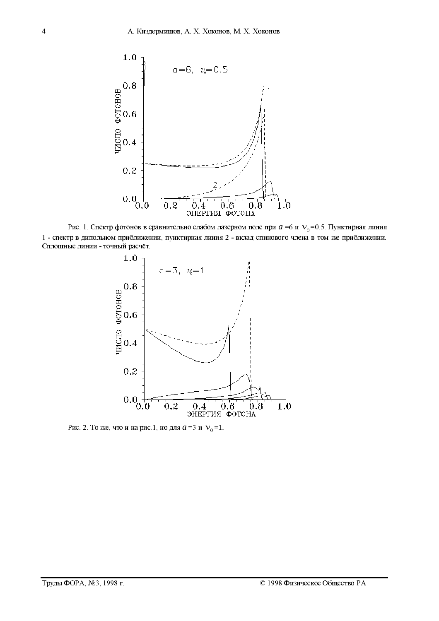

Рис. 1. Спектр фотонов в сравнительно слабом лазерном поле при  $a = 6$  и  $v_0 = 0.5$ . Пунктирная линия 1 - спектр в дипольном приближении, пунктирная линия 2 - вклад спинового члена в том же приближении. Сплошные линии - точный расчёт.



Рис. 2. То же, что и на рис. 1, но для  $a = 3$  и  $V_0 = 1$ .